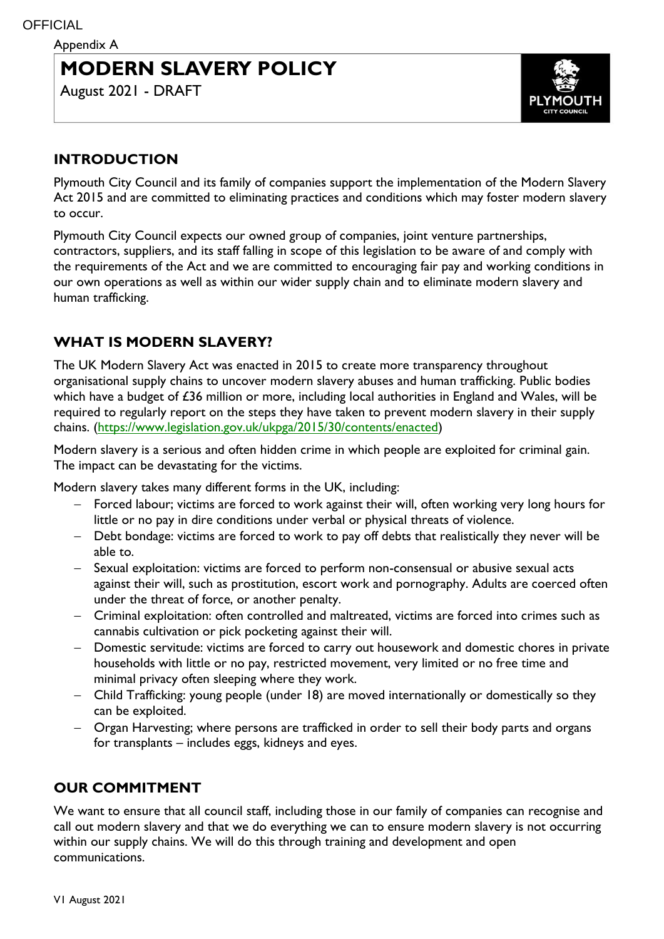# **MODERN SLAVERY POLICY**

August 2021 - DRAFT



### **INTRODUCTION**

Plymouth City Council and its family of companies support the implementation of the Modern Slavery Act 2015 and are committed to eliminating practices and conditions which may foster modern slavery to occur.

Plymouth City Council expects our owned group of companies, joint venture partnerships, contractors, suppliers, and its staff falling in scope of this legislation to be aware of and comply with the requirements of the Act and we are committed to encouraging fair pay and working conditions in our own operations as well as within our wider supply chain and to eliminate modern slavery and human trafficking.

# **WHAT IS MODERN SLAVERY?**

The UK Modern Slavery Act was enacted in 2015 to create more transparency throughout organisational supply chains to uncover modern slavery abuses and human trafficking. Public bodies which have a budget of £36 million or more, including local authorities in England and Wales, will be required to regularly report on the steps they have taken to prevent modern slavery in their supply chains. [\(https://www.legislation.gov.uk/ukpga/2015/30/contents/enacted\)](https://www.legislation.gov.uk/ukpga/2015/30/contents/enacted)

Modern slavery is a serious and often hidden crime in which people are exploited for criminal gain. The impact can be devastating for the victims.

Modern slavery takes many different forms in the UK, including:

- Forced labour; victims are forced to work against their will, often working very long hours for little or no pay in dire conditions under verbal or physical threats of violence.
- Debt bondage: victims are forced to work to pay off debts that realistically they never will be able to.
- Sexual exploitation: victims are forced to perform non-consensual or abusive sexual acts against their will, such as prostitution, escort work and pornography. Adults are coerced often under the threat of force, or another penalty.
- Criminal exploitation: often controlled and maltreated, victims are forced into crimes such as cannabis cultivation or pick pocketing against their will.
- Domestic servitude: victims are forced to carry out housework and domestic chores in private households with little or no pay, restricted movement, very limited or no free time and minimal privacy often sleeping where they work.
- Child Trafficking: young people (under 18) are moved internationally or domestically so they can be exploited.
- Organ Harvesting; where persons are trafficked in order to sell their body parts and organs for transplants – includes eggs, kidneys and eyes.

# **OUR COMMITMENT**

We want to ensure that all council staff, including those in our family of companies can recognise and call out modern slavery and that we do everything we can to ensure modern slavery is not occurring within our supply chains. We will do this through training and development and open communications.